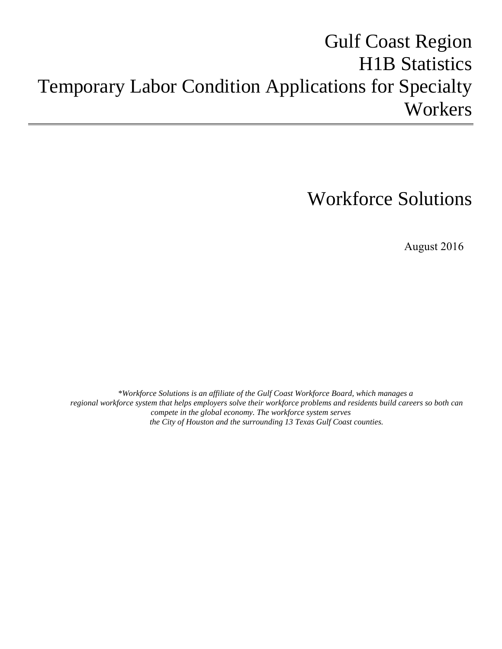# Gulf Coast Region **H1B Statistics** Temporary Labor Condition Applications for Specialty Workers

# Workforce Solutions

August 2016

*\*Workforce Solutions is an affiliate of the Gulf Coast Workforce Board, which manages a regional workforce system that helps employers solve their workforce problems and residents build careers so both can compete in the global economy. The workforce system serves the City of Houston and the surrounding 13 Texas Gulf Coast counties.*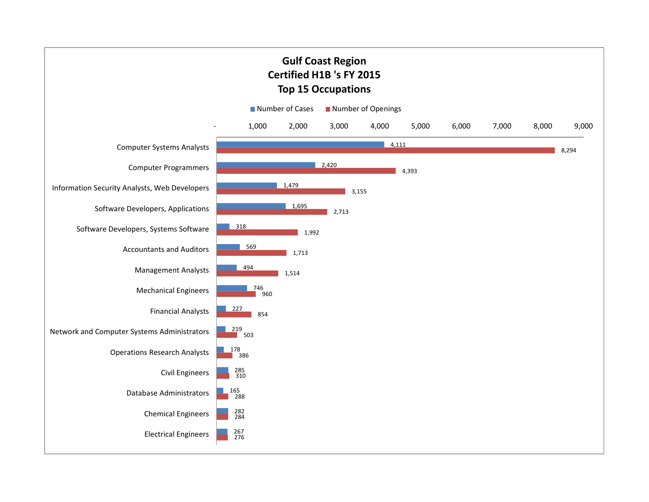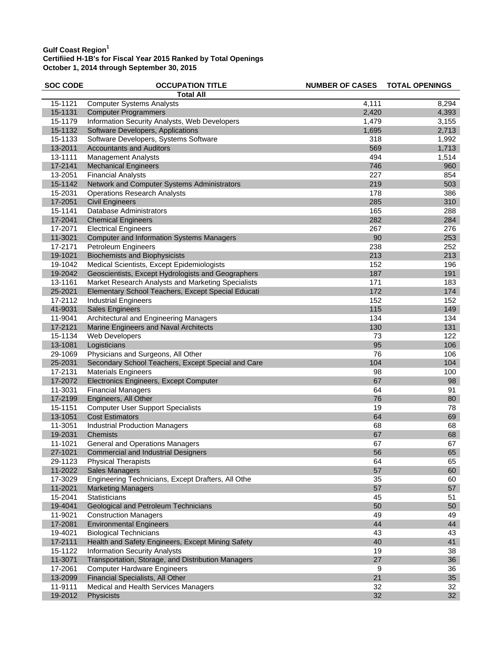| <b>SOC CODE</b> | <b>OCCUPATION TITLE</b>                            | <b>NUMBER OF CASES</b> | <b>TOTAL OPENINGS</b> |
|-----------------|----------------------------------------------------|------------------------|-----------------------|
|                 | <b>Total All</b>                                   |                        |                       |
| 15-1121         | <b>Computer Systems Analysts</b>                   | 4,111                  | 8,294                 |
| 15-1131         | <b>Computer Programmers</b>                        | 2,420                  | 4,393                 |
| 15-1179         | Information Security Analysts, Web Developers      | 1,479                  | 3,155                 |
| 15-1132         | Software Developers, Applications                  | 1,695                  | 2,713                 |
| 15-1133         | Software Developers, Systems Software              | 318                    | 1,992                 |
| 13-2011         | <b>Accountants and Auditors</b>                    | 569                    | 1,713                 |
| 13-1111         | <b>Management Analysts</b>                         | 494                    | 1,514                 |
| 17-2141         | <b>Mechanical Engineers</b>                        | 746                    | 960                   |
| 13-2051         | <b>Financial Analysts</b>                          | 227                    | 854                   |
| 15-1142         | Network and Computer Systems Administrators        | 219                    | 503                   |
| 15-2031         | <b>Operations Research Analysts</b>                | 178                    | 386                   |
| 17-2051         | <b>Civil Engineers</b>                             | 285                    | 310                   |
| 15-1141         | Database Administrators                            | 165                    | 288                   |
| 17-2041         | <b>Chemical Engineers</b>                          | 282                    | 284                   |
| 17-2071         | <b>Electrical Engineers</b>                        | 267                    | 276                   |
| 11-3021         | <b>Computer and Information Systems Managers</b>   | 90                     | 253                   |
| 17-2171         | Petroleum Engineers                                | 238                    | 252                   |
| 19-1021         | <b>Biochemists and Biophysicists</b>               | 213                    | 213                   |
| 19-1042         | Medical Scientists, Except Epidemiologists         | 152                    | 196                   |
| 19-2042         | Geoscientists, Except Hydrologists and Geographers | 187                    | 191                   |
| 13-1161         | Market Research Analysts and Marketing Specialists | 171                    | 183                   |
| 25-2021         | Elementary School Teachers, Except Special Educati | 172                    | 174                   |
| 17-2112         | <b>Industrial Engineers</b>                        | 152                    | 152                   |
| 41-9031         | <b>Sales Engineers</b>                             | 115                    | 149                   |
| 11-9041         | Architectural and Engineering Managers             | 134                    | 134                   |
| 17-2121         | Marine Engineers and Naval Architects              | 130                    | 131                   |
| 15-1134         | Web Developers                                     | 73                     | 122                   |
| 13-1081         | Logisticians                                       | 95                     | 106                   |
| 29-1069         | Physicians and Surgeons, All Other                 | 76                     | 106                   |
| 25-2031         | Secondary School Teachers, Except Special and Care | 104                    | 104                   |
| 17-2131         | <b>Materials Engineers</b>                         | 98                     | 100                   |
| 17-2072         | Electronics Engineers, Except Computer             | 67                     | 98                    |
| 11-3031         | <b>Financial Managers</b>                          | 64                     | 91                    |
| 17-2199         | Engineers, All Other                               | 76                     | 80                    |
| 15-1151         | <b>Computer User Support Specialists</b>           | 19                     | 78                    |
| 13-1051         | <b>Cost Estimators</b>                             | 64                     | 69                    |
| 11-3051         | <b>Industrial Production Managers</b>              | 68                     | 68                    |
| 19-2031         | <b>Chemists</b>                                    | 67                     | 68                    |
| 11-1021         | <b>General and Operations Managers</b>             | 67                     | 67                    |
| 27-1021         | <b>Commercial and Industrial Designers</b>         | 56                     | 65                    |
| 29-1123         | <b>Physical Therapists</b>                         | 64                     | 65                    |
| 11-2022         | <b>Sales Managers</b>                              | 57                     | 60                    |
| 17-3029         | Engineering Technicians, Except Drafters, All Othe | 35                     | 60                    |
| 11-2021         | <b>Marketing Managers</b>                          | 57                     | 57                    |
| 15-2041         | Statisticians                                      | 45                     | 51                    |
| 19-4041         | Geological and Petroleum Technicians               | 50                     | 50                    |
| 11-9021         | <b>Construction Managers</b>                       | 49                     | 49                    |
| 17-2081         | <b>Environmental Engineers</b>                     | 44                     | 44                    |
| 19-4021         | <b>Biological Technicians</b>                      | 43                     | 43                    |
| 17-2111         | Health and Safety Engineers, Except Mining Safety  | 40                     | 41                    |
| 15-1122         | <b>Information Security Analysts</b>               | 19                     | 38                    |
| 11-3071         | Transportation, Storage, and Distribution Managers | 27                     | 36                    |
| 17-2061         | <b>Computer Hardware Engineers</b>                 | 9                      | 36                    |
| 13-2099         | Financial Specialists, All Other                   | 21                     | 35                    |
| 11-9111         | Medical and Health Services Managers               | 32                     | 32                    |
| 19-2012         | Physicists                                         | 32                     | 32                    |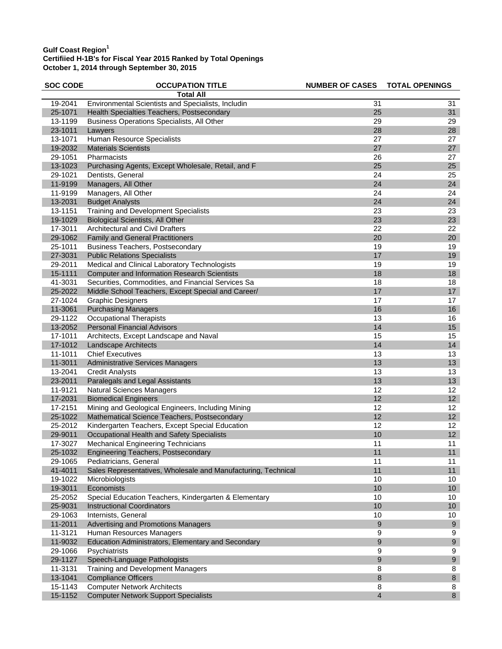| <b>SOC CODE</b> | <b>OCCUPATION TITLE</b>                                       | <b>NUMBER OF CASES</b> | <b>TOTAL OPENINGS</b> |
|-----------------|---------------------------------------------------------------|------------------------|-----------------------|
|                 | <b>Total All</b>                                              |                        |                       |
| 19-2041         | Environmental Scientists and Specialists, Includin            | 31                     | 31                    |
| 25-1071         | Health Specialties Teachers, Postsecondary                    | 25                     | 31                    |
| 13-1199         | Business Operations Specialists, All Other                    | 29                     | 29                    |
| 23-1011         | Lawyers                                                       | 28                     | 28                    |
| 13-1071         | Human Resource Specialists                                    | 27                     | 27                    |
| 19-2032         | <b>Materials Scientists</b>                                   | 27                     | 27                    |
| 29-1051         | Pharmacists                                                   | 26                     | 27                    |
| 13-1023         | Purchasing Agents, Except Wholesale, Retail, and F            | 25                     | 25                    |
| 29-1021         | Dentists, General                                             | 24                     | 25                    |
| 11-9199         | Managers, All Other                                           | 24                     | 24                    |
| 11-9199         | Managers, All Other                                           | 24                     | 24                    |
| 13-2031         | <b>Budget Analysts</b>                                        | 24                     | 24                    |
| 13-1151         | <b>Training and Development Specialists</b>                   | 23                     | 23                    |
| 19-1029         | <b>Biological Scientists, All Other</b>                       | 23                     | 23                    |
| 17-3011         | <b>Architectural and Civil Drafters</b>                       | 22                     | 22                    |
| 29-1062         | <b>Family and General Practitioners</b>                       | 20                     | $20\,$                |
| 25-1011         | <b>Business Teachers, Postsecondary</b>                       | 19                     | 19                    |
| 27-3031         | <b>Public Relations Specialists</b>                           | 17                     | 19                    |
| 29-2011         | Medical and Clinical Laboratory Technologists                 | 19                     | 19                    |
| 15-1111         | <b>Computer and Information Research Scientists</b>           | 18                     | 18                    |
| 41-3031         | Securities, Commodities, and Financial Services Sa            | 18                     | 18                    |
| 25-2022         | Middle School Teachers, Except Special and Career/            | 17                     | 17                    |
| 27-1024         | <b>Graphic Designers</b>                                      | 17                     | 17                    |
| 11-3061         | <b>Purchasing Managers</b>                                    | 16                     | 16                    |
| 29-1122         | <b>Occupational Therapists</b>                                | 13                     | 16                    |
| 13-2052         | <b>Personal Financial Advisors</b>                            | 14                     | 15                    |
| 17-1011         | Architects, Except Landscape and Naval                        | 15                     | 15                    |
| 17-1012         | <b>Landscape Architects</b>                                   | 14                     | 14                    |
| 11-1011         | <b>Chief Executives</b>                                       | 13                     | 13                    |
| 11-3011         | Administrative Services Managers                              | 13                     | 13                    |
| 13-2041         | <b>Credit Analysts</b>                                        | 13                     | 13                    |
| 23-2011         | Paralegals and Legal Assistants                               | 13                     | 13                    |
| 11-9121         | <b>Natural Sciences Managers</b>                              | 12                     | 12                    |
| 17-2031         | <b>Biomedical Engineers</b>                                   | 12                     | 12                    |
| 17-2151         | Mining and Geological Engineers, Including Mining             | 12                     | 12                    |
| 25-1022         | Mathematical Science Teachers, Postsecondary                  | 12                     | 12                    |
| 25-2012         | Kindergarten Teachers, Except Special Education               | 12                     | 12                    |
| 29-9011         | Occupational Health and Safety Specialists                    | 10                     | 12                    |
| 17-3027         | <b>Mechanical Engineering Technicians</b>                     | 11                     | 11                    |
| 25-1032         | <b>Engineering Teachers, Postsecondary</b>                    | 11                     | 11                    |
| 29-1065         | Pediatricians, General                                        | 11                     | 11                    |
| 41-4011         | Sales Representatives, Wholesale and Manufacturing, Technical | 11                     | 11                    |
| 19-1022         | Microbiologists                                               | 10                     | 10                    |
| 19-3011         | Economists                                                    | 10                     | 10                    |
| 25-2052         | Special Education Teachers, Kindergarten & Elementary         | 10                     | 10                    |
| 25-9031         | <b>Instructional Coordinators</b>                             | 10                     | $10$                  |
| 29-1063         | Internists, General                                           | 10                     | 10                    |
| 11-2011         | Advertising and Promotions Managers                           | 9                      | $\boldsymbol{9}$      |
| 11-3121         | Human Resources Managers                                      | 9                      | $\boldsymbol{9}$      |
| 11-9032         | Education Administrators, Elementary and Secondary            | 9                      | $\boldsymbol{9}$      |
| 29-1066         | Psychiatrists                                                 | 9                      | 9                     |
| 29-1127         | Speech-Language Pathologists                                  | 9                      | $\boldsymbol{9}$      |
| 11-3131         | Training and Development Managers                             | 8                      | 8                     |
| 13-1041         | <b>Compliance Officers</b>                                    | 8                      | $\, 8$                |
| 15-1143         | <b>Computer Network Architects</b>                            | 8                      | 8                     |
| 15-1152         | <b>Computer Network Support Specialists</b>                   | $\overline{4}$         | $\bf 8$               |
|                 |                                                               |                        |                       |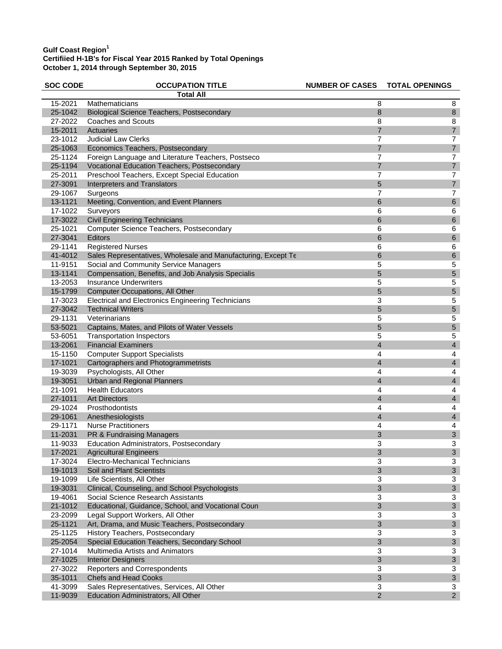| <b>SOC CODE</b> | <b>OCCUPATION TITLE</b>                                       | <b>NUMBER OF CASES</b> | <b>TOTAL OPENINGS</b>     |
|-----------------|---------------------------------------------------------------|------------------------|---------------------------|
|                 | <b>Total All</b>                                              |                        |                           |
| 15-2021         | Mathematicians                                                | 8                      | 8                         |
| 25-1042         | <b>Biological Science Teachers, Postsecondary</b>             | 8                      | $\,8\,$                   |
| 27-2022         | <b>Coaches and Scouts</b>                                     | 8                      | 8                         |
| 15-2011         | Actuaries                                                     | $\overline{7}$         | $\overline{\mathbf{7}}$   |
| 23-1012         | <b>Judicial Law Clerks</b>                                    | 7                      | $\overline{7}$            |
| 25-1063         | Economics Teachers, Postsecondary                             | $\overline{7}$         | $\overline{7}$            |
| 25-1124         | Foreign Language and Literature Teachers, Postseco            | 7                      | $\overline{7}$            |
| 25-1194         | Vocational Education Teachers, Postsecondary                  | $\overline{7}$         | $\overline{7}$            |
| 25-2011         | Preschool Teachers, Except Special Education                  | 7                      | $\overline{\mathcal{I}}$  |
| 27-3091         | Interpreters and Translators                                  | 5                      | $\overline{\mathcal{I}}$  |
| 29-1067         | Surgeons                                                      | 7                      | $\overline{7}$            |
| 13-1121         | Meeting, Convention, and Event Planners                       | 6                      | $\,6$                     |
| 17-1022         | Surveyors                                                     | 6                      | 6                         |
| 17-3022         | <b>Civil Engineering Technicians</b>                          | 6                      | 6                         |
| 25-1021         | Computer Science Teachers, Postsecondary                      | 6                      | 6                         |
| 27-3041         | Editors                                                       | 6                      | $\,$ 6 $\,$               |
| 29-1141         | <b>Registered Nurses</b>                                      | 6                      | $\,6$                     |
| 41-4012         | Sales Representatives, Wholesale and Manufacturing, Except Te | 6                      | $\boldsymbol{6}$          |
| 11-9151         | Social and Community Service Managers                         | 5                      | 5                         |
| 13-1141         | Compensation, Benefits, and Job Analysis Specialis            | 5                      | 5                         |
| 13-2053         | <b>Insurance Underwriters</b>                                 | 5                      | 5                         |
| 15-1799         | Computer Occupations, All Other                               | 5                      | 5                         |
| 17-3023         | <b>Electrical and Electronics Engineering Technicians</b>     | 3                      | 5                         |
| 27-3042         | <b>Technical Writers</b>                                      | 5                      | 5                         |
| 29-1131         | Veterinarians                                                 | 5                      | 5                         |
| 53-5021         | Captains, Mates, and Pilots of Water Vessels                  | 5                      | 5                         |
| 53-6051         | <b>Transportation Inspectors</b>                              | 5                      | 5                         |
| 13-2061         | <b>Financial Examiners</b>                                    | $\overline{4}$         | $\overline{4}$            |
| 15-1150         | <b>Computer Support Specialists</b>                           | 4                      | $\overline{\mathbf{4}}$   |
| 17-1021         | Cartographers and Photogrammetrists                           | $\overline{4}$         | $\overline{\mathbf{4}}$   |
| 19-3039         | Psychologists, All Other                                      | 4                      | $\overline{\mathbf{4}}$   |
| 19-3051         | Urban and Regional Planners                                   | 4                      | $\overline{\mathbf{4}}$   |
| 21-1091         | <b>Health Educators</b>                                       | 4                      | $\overline{\mathbf{4}}$   |
| 27-1011         | <b>Art Directors</b>                                          | 4                      | $\overline{\mathbf{4}}$   |
| 29-1024         | Prosthodontists                                               | 4                      | 4                         |
| 29-1061         | Anesthesiologists                                             | $\overline{4}$         | $\overline{a}$            |
| 29-1171         | <b>Nurse Practitioners</b>                                    | 4                      | 4                         |
| 11-2031         | PR & Fundraising Managers                                     | 3                      | $\ensuremath{\mathsf{3}}$ |
| 11-9033         | Education Administrators, Postsecondary                       | 3                      | 3                         |
| 17-2021         | <b>Agricultural Engineers</b>                                 | 3                      | 3                         |
| 17-3024         | Electro-Mechanical Technicians                                | 3                      | 3                         |
| 19-1013         | Soil and Plant Scientists                                     | 3                      | 3                         |
| 19-1099         | Life Scientists, All Other                                    | 3                      | 3                         |
| 19-3031         | Clinical, Counseling, and School Psychologists                | $\mathfrak{B}$         | $\ensuremath{\mathsf{3}}$ |
| 19-4061         | Social Science Research Assistants                            | 3                      | 3                         |
| 21-1012         | Educational, Guidance, School, and Vocational Coun            | $\sqrt{3}$             | $\ensuremath{\mathsf{3}}$ |
| 23-2099         | Legal Support Workers, All Other                              | 3                      | 3                         |
| 25-1121         | Art, Drama, and Music Teachers, Postsecondary                 | 3                      | 3                         |
| 25-1125         | History Teachers, Postsecondary                               | 3                      | 3                         |
| 25-2054         | Special Education Teachers, Secondary School                  | $\mathfrak{B}$         | $\sqrt{3}$                |
| 27-1014         | Multimedia Artists and Animators                              | 3                      | 3                         |
| 27-1025         | <b>Interior Designers</b>                                     | $\sqrt{3}$             | $\ensuremath{\mathsf{3}}$ |
| 27-3022         | Reporters and Correspondents                                  | 3                      | 3                         |
| 35-1011         | <b>Chefs and Head Cooks</b>                                   | 3                      | $\sqrt{3}$                |
| 41-3099         | Sales Representatives, Services, All Other                    | 3                      | 3                         |
| 11-9039         | Education Administrators, All Other                           | $\overline{2}$         | $\mathbf 2$               |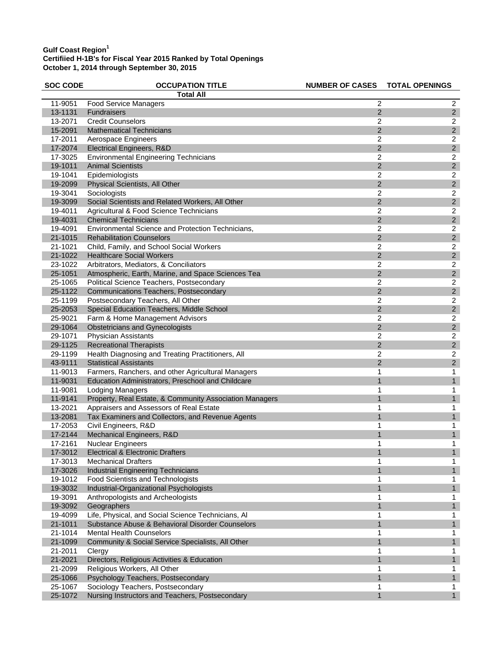| <b>SOC CODE</b> | <b>OCCUPATION TITLE</b>                                 | <b>NUMBER OF CASES</b> | <b>TOTAL OPENINGS</b> |
|-----------------|---------------------------------------------------------|------------------------|-----------------------|
|                 | <b>Total All</b>                                        |                        |                       |
| 11-9051         | <b>Food Service Managers</b>                            | $\overline{2}$         | $\overline{2}$        |
| 13-1131         | <b>Fundraisers</b>                                      | 2                      | $\sqrt{2}$            |
| 13-2071         | <b>Credit Counselors</b>                                | $\overline{c}$         | $\boldsymbol{2}$      |
| 15-2091         | <b>Mathematical Technicians</b>                         | $\overline{2}$         | $\overline{2}$        |
| 17-2011         | Aerospace Engineers                                     | 2                      | $\overline{c}$        |
| 17-2074         | Electrical Engineers, R&D                               | $\overline{2}$         | $\overline{2}$        |
| 17-3025         | <b>Environmental Engineering Technicians</b>            | 2                      | $\boldsymbol{2}$      |
| 19-1011         | <b>Animal Scientists</b>                                | 2                      | $\sqrt{2}$            |
| 19-1041         | Epidemiologists                                         | 2                      | $\overline{c}$        |
| 19-2099         | Physical Scientists, All Other                          | $\overline{2}$         | $\sqrt{2}$            |
| 19-3041         | Sociologists                                            | $\overline{c}$         | $\overline{c}$        |
| 19-3099         | Social Scientists and Related Workers, All Other        | $\overline{2}$         | $\sqrt{2}$            |
| 19-4011         | Agricultural & Food Science Technicians                 | 2                      | $\boldsymbol{2}$      |
| 19-4031         | <b>Chemical Technicians</b>                             | $\overline{2}$         | $\mathbf 2$           |
| 19-4091         | Environmental Science and Protection Technicians,       | 2                      | $\overline{c}$        |
| 21-1015         | <b>Rehabilitation Counselors</b>                        | $\overline{2}$         | $\overline{2}$        |
| 21-1021         | Child, Family, and School Social Workers                | $\overline{c}$         | $\boldsymbol{2}$      |
| 21-1022         | <b>Healthcare Social Workers</b>                        | $\overline{2}$         | $\sqrt{2}$            |
| 23-1022         | Arbitrators, Mediators, & Conciliators                  | $\overline{c}$         | $\boldsymbol{2}$      |
| 25-1051         | Atmospheric, Earth, Marine, and Space Sciences Tea      | $\overline{2}$         | $\mathbf 2$           |
| 25-1065         | Political Science Teachers, Postsecondary               | $\overline{c}$         | $\overline{c}$        |
| 25-1122         | <b>Communications Teachers, Postsecondary</b>           | $\overline{2}$         | $\overline{2}$        |
| 25-1199         | Postsecondary Teachers, All Other                       | 2                      | $\sqrt{2}$            |
| 25-2053         | Special Education Teachers, Middle School               | $\overline{2}$         | $\sqrt{2}$            |
| 25-9021         | Farm & Home Management Advisors                         | $\overline{c}$         | $\overline{c}$        |
| 29-1064         | <b>Obstetricians and Gynecologists</b>                  | $\overline{2}$         | $\overline{c}$        |
| 29-1071         | Physician Assistants                                    | 2                      | $\overline{c}$        |
| 29-1125         | <b>Recreational Therapists</b>                          | $\overline{2}$         | $\overline{2}$        |
| 29-1199         | Health Diagnosing and Treating Practitioners, All       | 2                      | $\boldsymbol{2}$      |
| 43-9111         | <b>Statistical Assistants</b>                           | 2                      | $\sqrt{2}$            |
| 11-9013         | Farmers, Ranchers, and other Agricultural Managers      | 1                      | $\mathbf{1}$          |
| 11-9031         | Education Administrators, Preschool and Childcare       | $\mathbf{1}$           | $\mathbf{1}$          |
| 11-9081         | <b>Lodging Managers</b>                                 | 1                      | 1                     |
| 11-9141         | Property, Real Estate, & Community Association Managers | 1                      | $\mathbf{1}$          |
| 13-2021         | Appraisers and Assessors of Real Estate                 | 1                      | 1                     |
| 13-2081         | Tax Examiners and Collectors, and Revenue Agents        | 1                      | $\mathbf{1}$          |
| 17-2053         | Civil Engineers, R&D                                    | 1                      | $\mathbf{1}$          |
| 17-2144         | Mechanical Engineers, R&D                               | $\mathbf 1$            | $\mathbf{1}$          |
| 17-2161         | <b>Nuclear Engineers</b>                                | 1                      | 1                     |
| 17-3012         | <b>Electrical &amp; Electronic Drafters</b>             | 1                      | 1                     |
| 17-3013         | <b>Mechanical Drafters</b>                              | 1                      | 1                     |
| 17-3026         | <b>Industrial Engineering Technicians</b>               |                        | $\mathbf 1$           |
| 19-1012         | <b>Food Scientists and Technologists</b>                | 1                      | 1                     |
| 19-3032         | Industrial-Organizational Psychologists                 |                        | 1                     |
| 19-3091         | Anthropologists and Archeologists                       | 1                      | 1                     |
| 19-3092         | Geographers                                             | $\mathbf 1$            | $\mathbf{1}$          |
| 19-4099         | Life, Physical, and Social Science Technicians, Al      | 1                      | 1                     |
| 21-1011         | Substance Abuse & Behavioral Disorder Counselors        | 1                      | 1                     |
| 21-1014         | <b>Mental Health Counselors</b>                         | 1                      | 1                     |
| 21-1099         | Community & Social Service Specialists, All Other       |                        | $\mathbf{1}$          |
| 21-2011         | Clergy                                                  | 1                      | 1                     |
| 21-2021         | Directors, Religious Activities & Education             |                        | $\mathbf{1}$          |
| 21-2099         | Religious Workers, All Other                            | 1                      | 1                     |
| 25-1066         | Psychology Teachers, Postsecondary                      |                        | $\mathbf{1}$          |
| 25-1067         | Sociology Teachers, Postsecondary                       | 1                      | 1                     |
| 25-1072         | Nursing Instructors and Teachers, Postsecondary         |                        | $\mathbf{1}$          |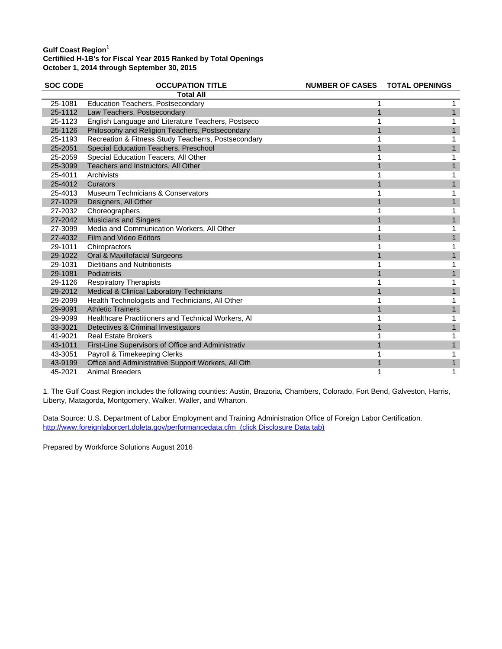| <b>SOC CODE</b> | <b>OCCUPATION TITLE</b>                             | <b>NUMBER OF CASES</b> | <b>TOTAL OPENINGS</b> |
|-----------------|-----------------------------------------------------|------------------------|-----------------------|
|                 | <b>Total All</b>                                    |                        |                       |
| 25-1081         | <b>Education Teachers, Postsecondary</b>            |                        |                       |
| 25-1112         | Law Teachers, Postsecondary                         |                        |                       |
| 25-1123         | English Language and Literature Teachers, Postseco  |                        |                       |
| 25-1126         | Philosophy and Religion Teachers, Postsecondary     |                        |                       |
| 25-1193         | Recreation & Fitness Study Teacherrs, Postsecondary |                        |                       |
| 25-2051         | Special Education Teachers, Preschool               |                        |                       |
| 25-2059         | Special Education Teacers, All Other                |                        |                       |
| 25-3099         | Teachers and Instructors, All Other                 |                        |                       |
| 25-4011         | Archivists                                          |                        |                       |
| 25-4012         | Curators                                            |                        |                       |
| 25-4013         | Museum Technicians & Conservators                   |                        |                       |
| 27-1029         | Designers, All Other                                |                        |                       |
| 27-2032         | Choreographers                                      |                        |                       |
| 27-2042         | <b>Musicians and Singers</b>                        |                        |                       |
| 27-3099         | Media and Communication Workers, All Other          |                        |                       |
| 27-4032         | Film and Video Editors                              |                        |                       |
| 29-1011         | Chiropractors                                       |                        |                       |
| 29-1022         | Oral & Maxillofacial Surgeons                       |                        |                       |
| 29-1031         | Dietitians and Nutritionists                        |                        |                       |
| 29-1081         | Podiatrists                                         |                        |                       |
| 29-1126         | <b>Respiratory Therapists</b>                       |                        |                       |
| 29-2012         | Medical & Clinical Laboratory Technicians           |                        |                       |
| 29-2099         | Health Technologists and Technicians, All Other     |                        | 1                     |
| 29-9091         | <b>Athletic Trainers</b>                            |                        |                       |
| 29-9099         | Healthcare Practitioners and Technical Workers, Al  |                        |                       |
| 33-3021         | Detectives & Criminal Investigators                 |                        |                       |
| 41-9021         | <b>Real Estate Brokers</b>                          |                        | 1                     |
| 43-1011         | First-Line Supervisors of Office and Administrativ  |                        |                       |
| 43-3051         | Payroll & Timekeeping Clerks                        |                        |                       |
| 43-9199         | Office and Administrative Support Workers, All Oth  |                        | 1                     |
| 45-2021         | <b>Animal Breeders</b>                              |                        | 1                     |

1. The Gulf Coast Region includes the following counties: Austin, Brazoria, Chambers, Colorado, Fort Bend, Galveston, Harris, Liberty, Matagorda, Montgomery, Walker, Waller, and Wharton.

Data Source: U.S. Department of Labor Employment and Training Administration Office of Foreign Labor Certification. http://www.foreignlaborcert.doleta.gov/performancedata.cfm (click Disclosure Data tab)

Prepared by Workforce Solutions August 2016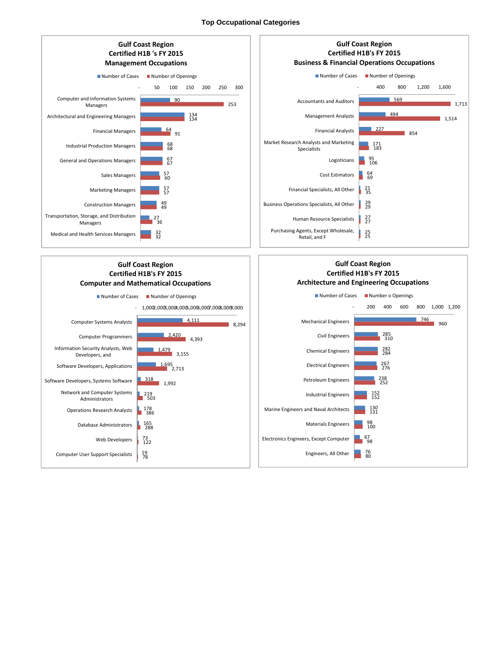## **Top Occupational Categories**

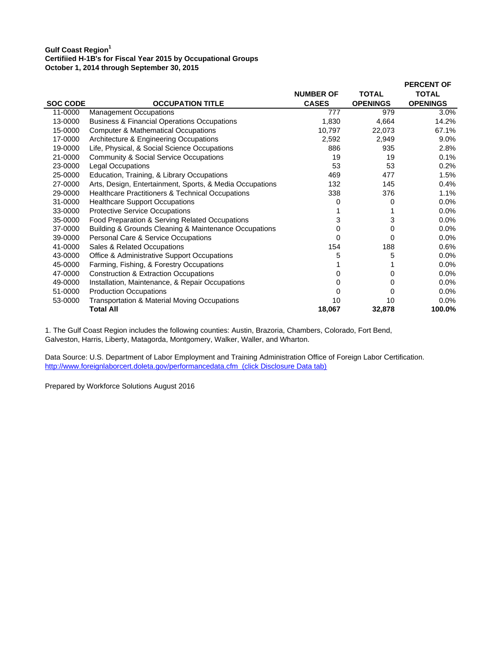|                 |                                                          |                  |                 | <b>PERCENT OF</b> |
|-----------------|----------------------------------------------------------|------------------|-----------------|-------------------|
|                 |                                                          | <b>NUMBER OF</b> | <b>TOTAL</b>    | <b>TOTAL</b>      |
| <b>SOC CODE</b> | <b>OCCUPATION TITLE</b>                                  | <b>CASES</b>     | <b>OPENINGS</b> | <b>OPENINGS</b>   |
| 11-0000         | <b>Management Occupations</b>                            | 777              | 979             | 3.0%              |
| 13-0000         | <b>Business &amp; Financial Operations Occupations</b>   | 1,830            | 4,664           | 14.2%             |
| 15-0000         | <b>Computer &amp; Mathematical Occupations</b>           | 10,797           | 22,073          | 67.1%             |
| 17-0000         | Architecture & Engineering Occupations                   | 2,592            | 2,949           | 9.0%              |
| 19-0000         | Life, Physical, & Social Science Occupations             | 886              | 935             | 2.8%              |
| 21-0000         | <b>Community &amp; Social Service Occupations</b>        | 19               | 19              | 0.1%              |
| 23-0000         | <b>Legal Occupations</b>                                 | 53               | 53              | 0.2%              |
| 25-0000         | Education, Training, & Library Occupations               | 469              | 477             | 1.5%              |
| 27-0000         | Arts, Design, Entertainment, Sports, & Media Occupations | 132              | 145             | 0.4%              |
| 29-0000         | Healthcare Practitioners & Technical Occupations         | 338              | 376             | 1.1%              |
| 31-0000         | <b>Healthcare Support Occupations</b>                    | 0                | 0               | 0.0%              |
| 33-0000         | <b>Protective Service Occupations</b>                    |                  |                 | 0.0%              |
| 35-0000         | Food Preparation & Serving Related Occupations           | 3                | 3               | 0.0%              |
| 37-0000         | Building & Grounds Cleaning & Maintenance Occupations    | 0                | 0               | 0.0%              |
| 39-0000         | Personal Care & Service Occupations                      | 0                | 0               | 0.0%              |
| 41-0000         | Sales & Related Occupations                              | 154              | 188             | 0.6%              |
| 43-0000         | Office & Administrative Support Occupations              | 5                | 5               | $0.0\%$           |
| 45-0000         | Farming, Fishing, & Forestry Occupations                 |                  |                 | 0.0%              |
| 47-0000         | <b>Construction &amp; Extraction Occupations</b>         | 0                | 0               | 0.0%              |
| 49-0000         | Installation, Maintenance, & Repair Occupations          | 0                | 0               | $0.0\%$           |
| 51-0000         | <b>Production Occupations</b>                            | 0                | 0               | 0.0%              |
| 53-0000         | Transportation & Material Moving Occupations             | 10               | 10              | 0.0%              |
|                 | <b>Total All</b>                                         | 18,067           | 32,878          | 100.0%            |

1. The Gulf Coast Region includes the following counties: Austin, Brazoria, Chambers, Colorado, Fort Bend, Galveston, Harris, Liberty, Matagorda, Montgomery, Walker, Waller, and Wharton.

Data Source: U.S. Department of Labor Employment and Training Administration Office of Foreign Labor Certification. http://www.foreignlaborcert.doleta.gov/performancedata.cfm (click Disclosure Data tab)

Prepared by Workforce Solutions August 2016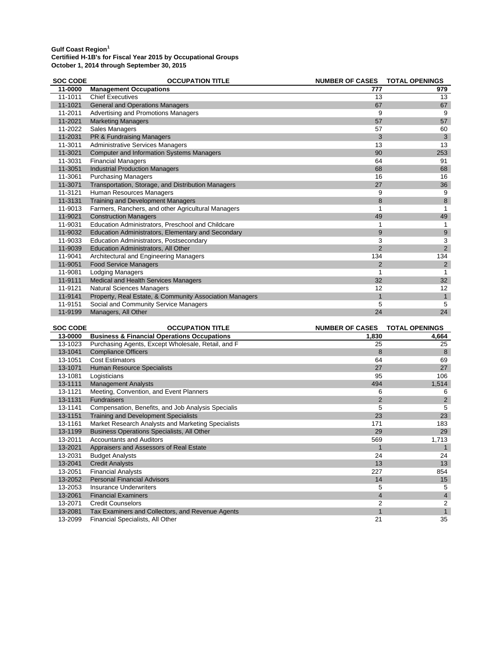| <b>SOC CODE</b> | <b>OCCUPATION TITLE</b>                                 | <b>NUMBER OF CASES</b> | <b>TOTAL OPENINGS</b> |
|-----------------|---------------------------------------------------------|------------------------|-----------------------|
| 11-0000         | <b>Management Occupations</b>                           | 777                    | 979                   |
| 11-1011         | <b>Chief Executives</b>                                 | 13                     | 13                    |
| 11-1021         | <b>General and Operations Managers</b>                  | 67                     | 67                    |
| 11-2011         | Advertising and Promotions Managers                     | 9                      | 9                     |
| 11-2021         | <b>Marketing Managers</b>                               | 57                     | 57                    |
| 11-2022         | Sales Managers                                          | 57                     | 60                    |
| 11-2031         | PR & Fundraising Managers                               | 3                      | 3                     |
| 11-3011         | <b>Administrative Services Managers</b>                 | 13                     | 13                    |
| 11-3021         | <b>Computer and Information Systems Managers</b>        | 90                     | 253                   |
| 11-3031         | <b>Financial Managers</b>                               | 64                     | 91                    |
| 11-3051         | <b>Industrial Production Managers</b>                   | 68                     | 68                    |
| 11-3061         | <b>Purchasing Managers</b>                              | 16                     | 16                    |
| 11-3071         | Transportation, Storage, and Distribution Managers      | 27                     | 36                    |
| 11-3121         | Human Resources Managers                                | 9                      | 9                     |
| 11-3131         | Training and Development Managers                       | 8                      | 8                     |
| 11-9013         | Farmers, Ranchers, and other Agricultural Managers      |                        |                       |
| 11-9021         | <b>Construction Managers</b>                            | 49                     | 49                    |
| 11-9031         | Education Administrators, Preschool and Childcare       |                        |                       |
| 11-9032         | Education Administrators, Elementary and Secondary      | 9                      | 9                     |
| 11-9033         | Education Administrators, Postsecondary                 | 3                      | 3                     |
| 11-9039         | Education Administrators, All Other                     | $\overline{2}$         | 2                     |
| 11-9041         | Architectural and Engineering Managers                  | 134                    | 134                   |
| 11-9051         | <b>Food Service Managers</b>                            | $\overline{2}$         | $\overline{2}$        |
| 11-9081         | <b>Lodging Managers</b>                                 |                        |                       |
| 11-9111         | Medical and Health Services Managers                    | 32                     | 32                    |
| 11-9121         | Natural Sciences Managers                               | 12                     | 12                    |
| 11-9141         | Property, Real Estate, & Community Association Managers | $\mathbf 1$            | $\mathbf{1}$          |
| 11-9151         | Social and Community Service Managers                   | 5                      | 5                     |
| 11-9199         | Managers, All Other                                     | 24                     | 24                    |

| <b>SOC CODE</b> | <b>OCCUPATION TITLE</b>                                | <b>NUMBER OF CASES</b> | <b>TOTAL OPENINGS</b> |
|-----------------|--------------------------------------------------------|------------------------|-----------------------|
| 13-0000         | <b>Business &amp; Financial Operations Occupations</b> | 1,830                  | 4,664                 |
| 13-1023         | Purchasing Agents, Except Wholesale, Retail, and F     | 25                     | 25                    |
| 13-1041         | <b>Compliance Officers</b>                             | 8                      | 8                     |
| 13-1051         | <b>Cost Estimators</b>                                 | 64                     | 69                    |
| 13-1071         | Human Resource Specialists                             | 27                     | 27                    |
| 13-1081         | Logisticians                                           | 95                     | 106                   |
| 13-1111         | <b>Management Analysts</b>                             | 494                    | 1,514                 |
| 13-1121         | Meeting, Convention, and Event Planners                | 6                      | 6                     |
| 13-1131         | <b>Fundraisers</b>                                     | $\overline{2}$         | $\overline{2}$        |
| 13-1141         | Compensation, Benefits, and Job Analysis Specialis     | 5                      | 5                     |
| 13-1151         | <b>Training and Development Specialists</b>            | 23                     | 23                    |
| 13-1161         | Market Research Analysts and Marketing Specialists     | 171                    | 183                   |
| 13-1199         | <b>Business Operations Specialists, All Other</b>      | 29                     | 29                    |
| 13-2011         | <b>Accountants and Auditors</b>                        | 569                    | 1,713                 |
| 13-2021         | Appraisers and Assessors of Real Estate                | 1                      |                       |
| 13-2031         | <b>Budget Analysts</b>                                 | 24                     | 24                    |
| 13-2041         | <b>Credit Analysts</b>                                 | 13                     | 13                    |
| 13-2051         | <b>Financial Analysts</b>                              | 227                    | 854                   |
| 13-2052         | <b>Personal Financial Advisors</b>                     | 14                     | 15                    |
| 13-2053         | <b>Insurance Underwriters</b>                          | 5                      | 5                     |
| 13-2061         | <b>Financial Examiners</b>                             | $\overline{4}$         | $\overline{4}$        |
| 13-2071         | <b>Credit Counselors</b>                               | 2                      | $\overline{2}$        |
| 13-2081         | Tax Examiners and Collectors, and Revenue Agents       | 1                      |                       |
| 13-2099         | Financial Specialists, All Other                       | 21                     | 35                    |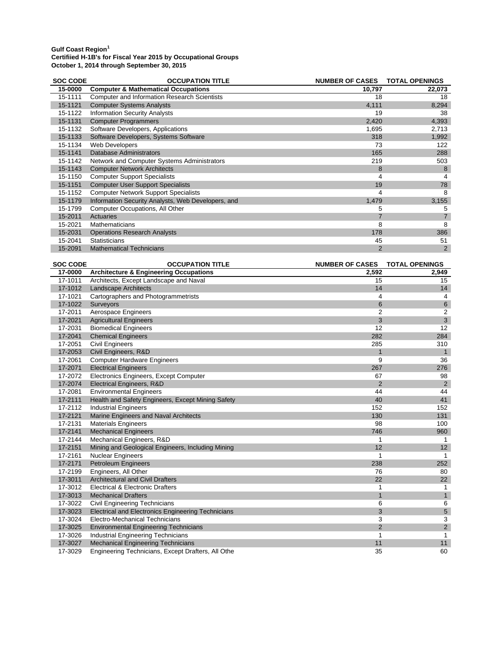| <b>SOC CODE</b> | <b>OCCUPATION TITLE</b>                             | <b>NUMBER OF CASES</b> | <b>TOTAL OPENINGS</b> |
|-----------------|-----------------------------------------------------|------------------------|-----------------------|
| 15-0000         | <b>Computer &amp; Mathematical Occupations</b>      | 10,797                 | 22,073                |
| 15-1111         | <b>Computer and Information Research Scientists</b> | 18                     | 18                    |
| 15-1121         | <b>Computer Systems Analysts</b>                    | 4,111                  | 8,294                 |
| 15-1122         | <b>Information Security Analysts</b>                | 19                     | 38                    |
| 15-1131         | <b>Computer Programmers</b>                         | 2,420                  | 4,393                 |
| 15-1132         | Software Developers, Applications                   | 1,695                  | 2,713                 |
| 15-1133         | Software Developers, Systems Software               | 318                    | 1,992                 |
| 15-1134         | Web Developers                                      | 73                     | 122                   |
| 15-1141         | <b>Database Administrators</b>                      | 165                    | 288                   |
| 15-1142         | Network and Computer Systems Administrators         | 219                    | 503                   |
| 15-1143         | <b>Computer Network Architects</b>                  | 8                      |                       |
| 15-1150         | <b>Computer Support Specialists</b>                 | 4                      |                       |
| 15-1151         | <b>Computer User Support Specialists</b>            | 19                     | 78                    |
| 15-1152         | <b>Computer Network Support Specialists</b>         | 4                      | 8                     |
| 15-1179         | Information Security Analysts, Web Developers, and  | 1,479                  | 3,155                 |
| 15-1799         | <b>Computer Occupations, All Other</b>              | 5                      | 5                     |
| 15-2011         | Actuaries                                           |                        |                       |
| 15-2021         | Mathematicians                                      | 8                      | 8                     |
| 15-2031         | <b>Operations Research Analysts</b>                 | 178                    | 386                   |
| 15-2041         | <b>Statisticians</b>                                | 45                     | 51                    |
| 15-2091         | <b>Mathematical Technicians</b>                     | 2                      | $\overline{2}$        |

| <b>SOC CODE</b> | <b>OCCUPATION TITLE</b>                                   | NUMBER OF CASES TOTAL OPENINGS |                |
|-----------------|-----------------------------------------------------------|--------------------------------|----------------|
| 17-0000         | <b>Architecture &amp; Engineering Occupations</b>         | 2,592                          | 2,949          |
| 17-1011         | Architects, Except Landscape and Naval                    | 15                             | 15             |
| 17-1012         | <b>Landscape Architects</b>                               | 14                             | 14             |
| 17-1021         | Cartographers and Photogrammetrists                       | 4                              | 4              |
| 17-1022         | Surveyors                                                 | 6                              | $\,6\,$        |
| 17-2011         | Aerospace Engineers                                       | $\overline{2}$                 | 2              |
| 17-2021         | <b>Agricultural Engineers</b>                             | 3                              | $\overline{3}$ |
| 17-2031         | <b>Biomedical Engineers</b>                               | 12                             | 12             |
| 17-2041         | <b>Chemical Engineers</b>                                 | 282                            | 284            |
| 17-2051         | <b>Civil Engineers</b>                                    | 285                            | 310            |
| 17-2053         | Civil Engineers, R&D                                      | $\mathbf{1}$                   | $\mathbf{1}$   |
| 17-2061         | <b>Computer Hardware Engineers</b>                        | 9                              | 36             |
| 17-2071         | <b>Electrical Engineers</b>                               | 267                            | 276            |
| 17-2072         | Electronics Engineers, Except Computer                    | 67                             | 98             |
| 17-2074         | Electrical Engineers, R&D                                 | 2                              | $\overline{2}$ |
| 17-2081         | <b>Environmental Engineers</b>                            | 44                             | 44             |
| 17-2111         | Health and Safety Engineers, Except Mining Safety         | 40                             | 41             |
| 17-2112         | <b>Industrial Engineers</b>                               | 152                            | 152            |
| 17-2121         | Marine Engineers and Naval Architects                     | 130                            | 131            |
| 17-2131         | <b>Materials Engineers</b>                                | 98                             | 100            |
| 17-2141         | <b>Mechanical Engineers</b>                               | 746                            | 960            |
| 17-2144         | Mechanical Engineers, R&D                                 |                                | 1              |
| 17-2151         | Mining and Geological Engineers, Including Mining         | 12                             | 12             |
| 17-2161         | Nuclear Engineers                                         |                                | 1              |
| 17-2171         | Petroleum Engineers                                       | 238                            | 252            |
| 17-2199         | Engineers, All Other                                      | 76                             | 80             |
| 17-3011         | <b>Architectural and Civil Drafters</b>                   | 22                             | 22             |
| 17-3012         | Electrical & Electronic Drafters                          |                                | 1              |
| 17-3013         | <b>Mechanical Drafters</b>                                | 1                              | 1              |
| 17-3022         | Civil Engineering Technicians                             | 6                              | 6              |
| 17-3023         | <b>Electrical and Electronics Engineering Technicians</b> | 3                              | $\overline{5}$ |
| 17-3024         | Electro-Mechanical Technicians                            | 3                              | 3              |
| 17-3025         | <b>Environmental Engineering Technicians</b>              | $\overline{2}$                 | $\overline{2}$ |
| 17-3026         | <b>Industrial Engineering Technicians</b>                 |                                | 1              |
| 17-3027         | <b>Mechanical Engineering Technicians</b>                 | 11                             | 11             |
| 17-3029         | Engineering Technicians, Except Drafters, All Othe        | 35                             | 60             |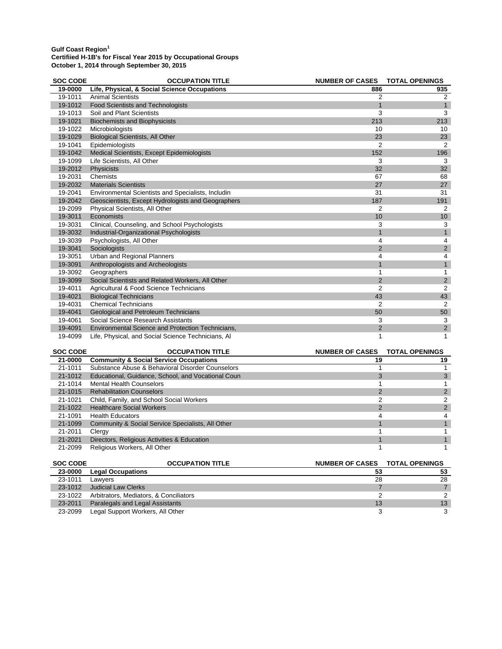| <b>SOC CODE</b> | <b>OCCUPATION TITLE</b>                            | <b>NUMBER OF CASES</b> | <b>TOTAL OPENINGS</b>   |
|-----------------|----------------------------------------------------|------------------------|-------------------------|
| 19-0000         | Life, Physical, & Social Science Occupations       | 886                    | 935                     |
| 19-1011         | <b>Animal Scientists</b>                           | 2                      | $\overline{2}$          |
| 19-1012         | <b>Food Scientists and Technologists</b>           | 1                      | $\mathbf{1}$            |
| 19-1013         | Soil and Plant Scientists                          | 3                      | 3                       |
| 19-1021         | <b>Biochemists and Biophysicists</b>               | 213                    | 213                     |
| 19-1022         | Microbiologists                                    | 10                     | 10                      |
| 19-1029         | <b>Biological Scientists, All Other</b>            | 23                     | 23                      |
| 19-1041         | Epidemiologists                                    | 2                      | 2                       |
| 19-1042         | Medical Scientists, Except Epidemiologists         | 152                    | 196                     |
| 19-1099         | Life Scientists, All Other                         | 3                      | 3                       |
| 19-2012         | Physicists                                         | 32                     | 32 <sup>2</sup>         |
| 19-2031         | Chemists                                           | 67                     | 68                      |
| 19-2032         | <b>Materials Scientists</b>                        | 27                     | 27                      |
| 19-2041         | Environmental Scientists and Specialists, Includin | 31                     | 31                      |
| 19-2042         | Geoscientists, Except Hydrologists and Geographers | 187                    | 191                     |
| 19-2099         | Physical Scientists, All Other                     | 2                      | 2                       |
| 19-3011         | Economists                                         | 10                     | 10 <sup>1</sup>         |
| 19-3031         | Clinical, Counseling, and School Psychologists     | 3                      | 3                       |
| 19-3032         | Industrial-Organizational Psychologists            |                        | $\mathbf{1}$            |
| 19-3039         | Psychologists, All Other                           | 4                      | $\overline{4}$          |
| 19-3041         | Sociologists                                       | $\overline{2}$         | $\overline{2}$          |
| 19-3051         | <b>Urban and Regional Planners</b>                 | 4                      | 4                       |
| 19-3091         | Anthropologists and Archeologists                  |                        | $\overline{1}$          |
| 19-3092         | Geographers                                        |                        | 1                       |
| 19-3099         | Social Scientists and Related Workers, All Other   | $\overline{2}$         | $\overline{c}$          |
| 19-4011         | Agricultural & Food Science Technicians            | $\overline{2}$         | 2                       |
| 19-4021         | <b>Biological Technicians</b>                      | 43                     | 43                      |
| 19-4031         | <b>Chemical Technicians</b>                        | 2                      | 2                       |
| 19-4041         | <b>Geological and Petroleum Technicians</b>        | 50                     | 50                      |
| 19-4061         | Social Science Research Assistants                 | 3                      | 3                       |
| 19-4091         | Environmental Science and Protection Technicians,  | $\overline{2}$         | $\overline{\mathbf{c}}$ |
| 19-4099         | Life, Physical, and Social Science Technicians, Al | 1                      | 1                       |

| <b>SOC CODE</b> | <b>OCCUPATION TITLE</b>                            | NUMBER OF CASES TOTAL OPENINGS |    |
|-----------------|----------------------------------------------------|--------------------------------|----|
| 21-0000         | <b>Community &amp; Social Service Occupations</b>  | 19                             | 19 |
| 21-1011         | Substance Abuse & Behavioral Disorder Counselors   |                                |    |
| 21-1012         | Educational, Guidance, School, and Vocational Coun |                                |    |
| 21-1014         | <b>Mental Health Counselors</b>                    |                                |    |
| $21 - 1015$     | <b>Rehabilitation Counselors</b>                   |                                |    |
| 21-1021         | Child, Family, and School Social Workers           |                                |    |
| 21-1022         | <b>Healthcare Social Workers</b>                   |                                |    |
| 21-1091         | <b>Health Educators</b>                            |                                |    |
| 21-1099         | Community & Social Service Specialists, All Other  |                                |    |
| 21-2011         | Clergy                                             |                                |    |
| 21-2021         | Directors, Religious Activities & Education        |                                |    |
| 21-2099         | Religious Workers, All Other                       |                                |    |

| <b>SOC CODE</b> | <b>OCCUPATION TITLE</b>                | NUMBER OF CASES TOTAL OPENINGS |    |
|-----------------|----------------------------------------|--------------------------------|----|
| 23-0000         | <b>Legal Occupations</b>               | 53                             | 53 |
| 23-1011         | Lawvers                                | 28                             | 28 |
| 23-1012         | Judicial Law Clerks                    |                                |    |
| 23-1022         | Arbitrators, Mediators, & Conciliators |                                |    |
| 23-2011         | Paralegals and Legal Assistants        | 13                             | 13 |
| 23-2099         | Legal Support Workers, All Other       |                                |    |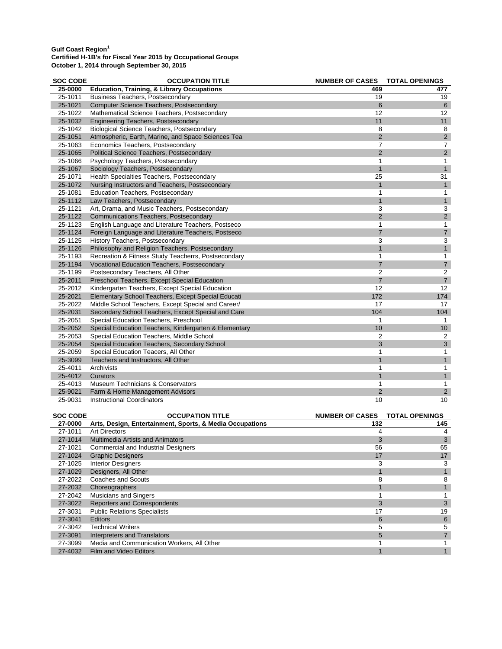## **Gulf Coast Region<sup>1</sup>**

#### **Certifiied H-1B's for Fiscal Year 2015 by Occupational Groups October 1, 2014 through September 30, 2015**

| <b>Education, Training, &amp; Library Occupations</b><br>25-0000<br>469<br>477<br>19<br>25-1011<br><b>Business Teachers, Postsecondary</b><br>19<br>6<br>$6\phantom{1}$<br>25-1021<br><b>Computer Science Teachers, Postsecondary</b><br>25-1022<br>Mathematical Science Teachers, Postsecondary<br>12<br>12<br>11<br>11<br>25-1032<br><b>Engineering Teachers, Postsecondary</b><br>8<br>25-1042<br><b>Biological Science Teachers, Postsecondary</b><br>8<br>$\overline{2}$<br>$\overline{2}$<br>25-1051<br>Atmospheric, Earth, Marine, and Space Sciences Tea<br>25-1063<br>Economics Teachers, Postsecondary<br>$\overline{7}$<br>$\overline{7}$<br>$\overline{2}$<br>$\overline{2}$<br>25-1065<br>Political Science Teachers, Postsecondary<br>25-1066<br>Psychology Teachers, Postsecondary<br>$\mathbf{1}$<br>$\mathbf{1}$<br>$\mathbf{1}$<br>$\mathbf{1}$<br>25-1067<br>Sociology Teachers, Postsecondary<br>25-1071<br>25<br>31<br>Health Specialties Teachers, Postsecondary<br>1<br>$\mathbf{1}$<br>25-1072<br>Nursing Instructors and Teachers, Postsecondary<br>25-1081<br><b>Education Teachers, Postsecondary</b><br>$\mathbf{1}$<br>$\mathbf{1}$<br>$\mathbf{1}$<br>25-1112<br>$\mathbf{1}$<br>Law Teachers, Postsecondary<br>25-1121<br>Art, Drama, and Music Teachers, Postsecondary<br>3<br>3<br>$\overline{2}$<br>$\overline{2}$<br>25-1122<br>Communications Teachers, Postsecondary<br>25-1123<br>English Language and Literature Teachers, Postseco<br>$\mathbf{1}$<br>$\mathbf{1}$<br>$\overline{7}$<br>$\overline{7}$<br>25-1124<br>Foreign Language and Literature Teachers, Postseco<br>3<br>3<br>History Teachers, Postsecondary<br>25-1125<br>$\mathbf{1}$<br>$\mathbf{1}$<br>25-1126<br>Philosophy and Religion Teachers, Postsecondary<br>25-1193<br>Recreation & Fitness Study Teacherrs, Postsecondary<br>1<br>$\mathbf{1}$<br>$\overline{7}$<br>25-1194<br>$\boldsymbol{7}$<br>Vocational Education Teachers, Postsecondary<br>$\overline{2}$<br>$\overline{2}$<br>25-1199<br>Postsecondary Teachers, All Other<br>$\overline{7}$<br>Preschool Teachers, Except Special Education<br>$\boldsymbol{7}$<br>25-2011<br>12<br>12<br>25-2012<br>Kindergarten Teachers, Except Special Education<br>172<br>25-2021<br>Elementary School Teachers, Except Special Educati<br>174<br>25-2022<br>Middle School Teachers, Except Special and Career/<br>17<br>17<br>25-2031<br>Secondary School Teachers, Except Special and Care<br>104<br>104<br>25-2051<br>Special Education Teachers, Preschool<br>$\mathbf{1}$<br>$\mathbf{1}$<br>10<br>10<br>25-2052<br>Special Education Teachers, Kindergarten & Elementary<br>2<br>25-2053<br>Special Education Teachers, Middle School<br>$\overline{2}$<br>3<br>$\mathbf{3}$<br>25-2054<br>Special Education Teachers, Secondary School<br>25-2059<br>Special Education Teacers, All Other<br>$\mathbf{1}$<br>1<br>$\mathbf{1}$<br>$\mathbf{1}$<br>25-3099<br>Teachers and Instructors, All Other<br>25-4011<br>1<br>1<br>Archivists<br>$\mathbf{1}$<br>1<br>25-4012<br>Curators<br>25-4013<br>Museum Technicians & Conservators<br>1<br>$\mathbf{1}$<br>$\overline{2}$<br>$\overline{2}$<br>25-9021<br>Farm & Home Management Advisors<br>10<br>25-9031<br>10<br>Instructional Coordinators<br><b>SOC CODE</b><br><b>OCCUPATION TITLE</b><br><b>NUMBER OF CASES</b><br><b>TOTAL OPENINGS</b><br>27-0000<br>Arts, Design, Entertainment, Sports, & Media Occupations<br>132<br>145<br>$27 - 1011$<br><b>Art Directors</b><br>$\overline{4}$<br>4 | <b>SOC CODE</b> | <b>OCCUPATION TITLE</b> | NUMBER OF CASES TOTAL OPENINGS |  |
|---------------------------------------------------------------------------------------------------------------------------------------------------------------------------------------------------------------------------------------------------------------------------------------------------------------------------------------------------------------------------------------------------------------------------------------------------------------------------------------------------------------------------------------------------------------------------------------------------------------------------------------------------------------------------------------------------------------------------------------------------------------------------------------------------------------------------------------------------------------------------------------------------------------------------------------------------------------------------------------------------------------------------------------------------------------------------------------------------------------------------------------------------------------------------------------------------------------------------------------------------------------------------------------------------------------------------------------------------------------------------------------------------------------------------------------------------------------------------------------------------------------------------------------------------------------------------------------------------------------------------------------------------------------------------------------------------------------------------------------------------------------------------------------------------------------------------------------------------------------------------------------------------------------------------------------------------------------------------------------------------------------------------------------------------------------------------------------------------------------------------------------------------------------------------------------------------------------------------------------------------------------------------------------------------------------------------------------------------------------------------------------------------------------------------------------------------------------------------------------------------------------------------------------------------------------------------------------------------------------------------------------------------------------------------------------------------------------------------------------------------------------------------------------------------------------------------------------------------------------------------------------------------------------------------------------------------------------------------------------------------------------------------------------------------------------------------------------------------------------------------------------------------------------------------------------------------------------------------------------------------------------------------------------------------------------------------------------------------------------------------------------------------------------------------------------------------------------------------------------------------------------------|-----------------|-------------------------|--------------------------------|--|
|                                                                                                                                                                                                                                                                                                                                                                                                                                                                                                                                                                                                                                                                                                                                                                                                                                                                                                                                                                                                                                                                                                                                                                                                                                                                                                                                                                                                                                                                                                                                                                                                                                                                                                                                                                                                                                                                                                                                                                                                                                                                                                                                                                                                                                                                                                                                                                                                                                                                                                                                                                                                                                                                                                                                                                                                                                                                                                                                                                                                                                                                                                                                                                                                                                                                                                                                                                                                                                                                                                                     |                 |                         |                                |  |
|                                                                                                                                                                                                                                                                                                                                                                                                                                                                                                                                                                                                                                                                                                                                                                                                                                                                                                                                                                                                                                                                                                                                                                                                                                                                                                                                                                                                                                                                                                                                                                                                                                                                                                                                                                                                                                                                                                                                                                                                                                                                                                                                                                                                                                                                                                                                                                                                                                                                                                                                                                                                                                                                                                                                                                                                                                                                                                                                                                                                                                                                                                                                                                                                                                                                                                                                                                                                                                                                                                                     |                 |                         |                                |  |
|                                                                                                                                                                                                                                                                                                                                                                                                                                                                                                                                                                                                                                                                                                                                                                                                                                                                                                                                                                                                                                                                                                                                                                                                                                                                                                                                                                                                                                                                                                                                                                                                                                                                                                                                                                                                                                                                                                                                                                                                                                                                                                                                                                                                                                                                                                                                                                                                                                                                                                                                                                                                                                                                                                                                                                                                                                                                                                                                                                                                                                                                                                                                                                                                                                                                                                                                                                                                                                                                                                                     |                 |                         |                                |  |
|                                                                                                                                                                                                                                                                                                                                                                                                                                                                                                                                                                                                                                                                                                                                                                                                                                                                                                                                                                                                                                                                                                                                                                                                                                                                                                                                                                                                                                                                                                                                                                                                                                                                                                                                                                                                                                                                                                                                                                                                                                                                                                                                                                                                                                                                                                                                                                                                                                                                                                                                                                                                                                                                                                                                                                                                                                                                                                                                                                                                                                                                                                                                                                                                                                                                                                                                                                                                                                                                                                                     |                 |                         |                                |  |
|                                                                                                                                                                                                                                                                                                                                                                                                                                                                                                                                                                                                                                                                                                                                                                                                                                                                                                                                                                                                                                                                                                                                                                                                                                                                                                                                                                                                                                                                                                                                                                                                                                                                                                                                                                                                                                                                                                                                                                                                                                                                                                                                                                                                                                                                                                                                                                                                                                                                                                                                                                                                                                                                                                                                                                                                                                                                                                                                                                                                                                                                                                                                                                                                                                                                                                                                                                                                                                                                                                                     |                 |                         |                                |  |
|                                                                                                                                                                                                                                                                                                                                                                                                                                                                                                                                                                                                                                                                                                                                                                                                                                                                                                                                                                                                                                                                                                                                                                                                                                                                                                                                                                                                                                                                                                                                                                                                                                                                                                                                                                                                                                                                                                                                                                                                                                                                                                                                                                                                                                                                                                                                                                                                                                                                                                                                                                                                                                                                                                                                                                                                                                                                                                                                                                                                                                                                                                                                                                                                                                                                                                                                                                                                                                                                                                                     |                 |                         |                                |  |
|                                                                                                                                                                                                                                                                                                                                                                                                                                                                                                                                                                                                                                                                                                                                                                                                                                                                                                                                                                                                                                                                                                                                                                                                                                                                                                                                                                                                                                                                                                                                                                                                                                                                                                                                                                                                                                                                                                                                                                                                                                                                                                                                                                                                                                                                                                                                                                                                                                                                                                                                                                                                                                                                                                                                                                                                                                                                                                                                                                                                                                                                                                                                                                                                                                                                                                                                                                                                                                                                                                                     |                 |                         |                                |  |
|                                                                                                                                                                                                                                                                                                                                                                                                                                                                                                                                                                                                                                                                                                                                                                                                                                                                                                                                                                                                                                                                                                                                                                                                                                                                                                                                                                                                                                                                                                                                                                                                                                                                                                                                                                                                                                                                                                                                                                                                                                                                                                                                                                                                                                                                                                                                                                                                                                                                                                                                                                                                                                                                                                                                                                                                                                                                                                                                                                                                                                                                                                                                                                                                                                                                                                                                                                                                                                                                                                                     |                 |                         |                                |  |
|                                                                                                                                                                                                                                                                                                                                                                                                                                                                                                                                                                                                                                                                                                                                                                                                                                                                                                                                                                                                                                                                                                                                                                                                                                                                                                                                                                                                                                                                                                                                                                                                                                                                                                                                                                                                                                                                                                                                                                                                                                                                                                                                                                                                                                                                                                                                                                                                                                                                                                                                                                                                                                                                                                                                                                                                                                                                                                                                                                                                                                                                                                                                                                                                                                                                                                                                                                                                                                                                                                                     |                 |                         |                                |  |
|                                                                                                                                                                                                                                                                                                                                                                                                                                                                                                                                                                                                                                                                                                                                                                                                                                                                                                                                                                                                                                                                                                                                                                                                                                                                                                                                                                                                                                                                                                                                                                                                                                                                                                                                                                                                                                                                                                                                                                                                                                                                                                                                                                                                                                                                                                                                                                                                                                                                                                                                                                                                                                                                                                                                                                                                                                                                                                                                                                                                                                                                                                                                                                                                                                                                                                                                                                                                                                                                                                                     |                 |                         |                                |  |
|                                                                                                                                                                                                                                                                                                                                                                                                                                                                                                                                                                                                                                                                                                                                                                                                                                                                                                                                                                                                                                                                                                                                                                                                                                                                                                                                                                                                                                                                                                                                                                                                                                                                                                                                                                                                                                                                                                                                                                                                                                                                                                                                                                                                                                                                                                                                                                                                                                                                                                                                                                                                                                                                                                                                                                                                                                                                                                                                                                                                                                                                                                                                                                                                                                                                                                                                                                                                                                                                                                                     |                 |                         |                                |  |
|                                                                                                                                                                                                                                                                                                                                                                                                                                                                                                                                                                                                                                                                                                                                                                                                                                                                                                                                                                                                                                                                                                                                                                                                                                                                                                                                                                                                                                                                                                                                                                                                                                                                                                                                                                                                                                                                                                                                                                                                                                                                                                                                                                                                                                                                                                                                                                                                                                                                                                                                                                                                                                                                                                                                                                                                                                                                                                                                                                                                                                                                                                                                                                                                                                                                                                                                                                                                                                                                                                                     |                 |                         |                                |  |
|                                                                                                                                                                                                                                                                                                                                                                                                                                                                                                                                                                                                                                                                                                                                                                                                                                                                                                                                                                                                                                                                                                                                                                                                                                                                                                                                                                                                                                                                                                                                                                                                                                                                                                                                                                                                                                                                                                                                                                                                                                                                                                                                                                                                                                                                                                                                                                                                                                                                                                                                                                                                                                                                                                                                                                                                                                                                                                                                                                                                                                                                                                                                                                                                                                                                                                                                                                                                                                                                                                                     |                 |                         |                                |  |
|                                                                                                                                                                                                                                                                                                                                                                                                                                                                                                                                                                                                                                                                                                                                                                                                                                                                                                                                                                                                                                                                                                                                                                                                                                                                                                                                                                                                                                                                                                                                                                                                                                                                                                                                                                                                                                                                                                                                                                                                                                                                                                                                                                                                                                                                                                                                                                                                                                                                                                                                                                                                                                                                                                                                                                                                                                                                                                                                                                                                                                                                                                                                                                                                                                                                                                                                                                                                                                                                                                                     |                 |                         |                                |  |
|                                                                                                                                                                                                                                                                                                                                                                                                                                                                                                                                                                                                                                                                                                                                                                                                                                                                                                                                                                                                                                                                                                                                                                                                                                                                                                                                                                                                                                                                                                                                                                                                                                                                                                                                                                                                                                                                                                                                                                                                                                                                                                                                                                                                                                                                                                                                                                                                                                                                                                                                                                                                                                                                                                                                                                                                                                                                                                                                                                                                                                                                                                                                                                                                                                                                                                                                                                                                                                                                                                                     |                 |                         |                                |  |
|                                                                                                                                                                                                                                                                                                                                                                                                                                                                                                                                                                                                                                                                                                                                                                                                                                                                                                                                                                                                                                                                                                                                                                                                                                                                                                                                                                                                                                                                                                                                                                                                                                                                                                                                                                                                                                                                                                                                                                                                                                                                                                                                                                                                                                                                                                                                                                                                                                                                                                                                                                                                                                                                                                                                                                                                                                                                                                                                                                                                                                                                                                                                                                                                                                                                                                                                                                                                                                                                                                                     |                 |                         |                                |  |
|                                                                                                                                                                                                                                                                                                                                                                                                                                                                                                                                                                                                                                                                                                                                                                                                                                                                                                                                                                                                                                                                                                                                                                                                                                                                                                                                                                                                                                                                                                                                                                                                                                                                                                                                                                                                                                                                                                                                                                                                                                                                                                                                                                                                                                                                                                                                                                                                                                                                                                                                                                                                                                                                                                                                                                                                                                                                                                                                                                                                                                                                                                                                                                                                                                                                                                                                                                                                                                                                                                                     |                 |                         |                                |  |
|                                                                                                                                                                                                                                                                                                                                                                                                                                                                                                                                                                                                                                                                                                                                                                                                                                                                                                                                                                                                                                                                                                                                                                                                                                                                                                                                                                                                                                                                                                                                                                                                                                                                                                                                                                                                                                                                                                                                                                                                                                                                                                                                                                                                                                                                                                                                                                                                                                                                                                                                                                                                                                                                                                                                                                                                                                                                                                                                                                                                                                                                                                                                                                                                                                                                                                                                                                                                                                                                                                                     |                 |                         |                                |  |
|                                                                                                                                                                                                                                                                                                                                                                                                                                                                                                                                                                                                                                                                                                                                                                                                                                                                                                                                                                                                                                                                                                                                                                                                                                                                                                                                                                                                                                                                                                                                                                                                                                                                                                                                                                                                                                                                                                                                                                                                                                                                                                                                                                                                                                                                                                                                                                                                                                                                                                                                                                                                                                                                                                                                                                                                                                                                                                                                                                                                                                                                                                                                                                                                                                                                                                                                                                                                                                                                                                                     |                 |                         |                                |  |
|                                                                                                                                                                                                                                                                                                                                                                                                                                                                                                                                                                                                                                                                                                                                                                                                                                                                                                                                                                                                                                                                                                                                                                                                                                                                                                                                                                                                                                                                                                                                                                                                                                                                                                                                                                                                                                                                                                                                                                                                                                                                                                                                                                                                                                                                                                                                                                                                                                                                                                                                                                                                                                                                                                                                                                                                                                                                                                                                                                                                                                                                                                                                                                                                                                                                                                                                                                                                                                                                                                                     |                 |                         |                                |  |
|                                                                                                                                                                                                                                                                                                                                                                                                                                                                                                                                                                                                                                                                                                                                                                                                                                                                                                                                                                                                                                                                                                                                                                                                                                                                                                                                                                                                                                                                                                                                                                                                                                                                                                                                                                                                                                                                                                                                                                                                                                                                                                                                                                                                                                                                                                                                                                                                                                                                                                                                                                                                                                                                                                                                                                                                                                                                                                                                                                                                                                                                                                                                                                                                                                                                                                                                                                                                                                                                                                                     |                 |                         |                                |  |
|                                                                                                                                                                                                                                                                                                                                                                                                                                                                                                                                                                                                                                                                                                                                                                                                                                                                                                                                                                                                                                                                                                                                                                                                                                                                                                                                                                                                                                                                                                                                                                                                                                                                                                                                                                                                                                                                                                                                                                                                                                                                                                                                                                                                                                                                                                                                                                                                                                                                                                                                                                                                                                                                                                                                                                                                                                                                                                                                                                                                                                                                                                                                                                                                                                                                                                                                                                                                                                                                                                                     |                 |                         |                                |  |
|                                                                                                                                                                                                                                                                                                                                                                                                                                                                                                                                                                                                                                                                                                                                                                                                                                                                                                                                                                                                                                                                                                                                                                                                                                                                                                                                                                                                                                                                                                                                                                                                                                                                                                                                                                                                                                                                                                                                                                                                                                                                                                                                                                                                                                                                                                                                                                                                                                                                                                                                                                                                                                                                                                                                                                                                                                                                                                                                                                                                                                                                                                                                                                                                                                                                                                                                                                                                                                                                                                                     |                 |                         |                                |  |
|                                                                                                                                                                                                                                                                                                                                                                                                                                                                                                                                                                                                                                                                                                                                                                                                                                                                                                                                                                                                                                                                                                                                                                                                                                                                                                                                                                                                                                                                                                                                                                                                                                                                                                                                                                                                                                                                                                                                                                                                                                                                                                                                                                                                                                                                                                                                                                                                                                                                                                                                                                                                                                                                                                                                                                                                                                                                                                                                                                                                                                                                                                                                                                                                                                                                                                                                                                                                                                                                                                                     |                 |                         |                                |  |
|                                                                                                                                                                                                                                                                                                                                                                                                                                                                                                                                                                                                                                                                                                                                                                                                                                                                                                                                                                                                                                                                                                                                                                                                                                                                                                                                                                                                                                                                                                                                                                                                                                                                                                                                                                                                                                                                                                                                                                                                                                                                                                                                                                                                                                                                                                                                                                                                                                                                                                                                                                                                                                                                                                                                                                                                                                                                                                                                                                                                                                                                                                                                                                                                                                                                                                                                                                                                                                                                                                                     |                 |                         |                                |  |
|                                                                                                                                                                                                                                                                                                                                                                                                                                                                                                                                                                                                                                                                                                                                                                                                                                                                                                                                                                                                                                                                                                                                                                                                                                                                                                                                                                                                                                                                                                                                                                                                                                                                                                                                                                                                                                                                                                                                                                                                                                                                                                                                                                                                                                                                                                                                                                                                                                                                                                                                                                                                                                                                                                                                                                                                                                                                                                                                                                                                                                                                                                                                                                                                                                                                                                                                                                                                                                                                                                                     |                 |                         |                                |  |
|                                                                                                                                                                                                                                                                                                                                                                                                                                                                                                                                                                                                                                                                                                                                                                                                                                                                                                                                                                                                                                                                                                                                                                                                                                                                                                                                                                                                                                                                                                                                                                                                                                                                                                                                                                                                                                                                                                                                                                                                                                                                                                                                                                                                                                                                                                                                                                                                                                                                                                                                                                                                                                                                                                                                                                                                                                                                                                                                                                                                                                                                                                                                                                                                                                                                                                                                                                                                                                                                                                                     |                 |                         |                                |  |
|                                                                                                                                                                                                                                                                                                                                                                                                                                                                                                                                                                                                                                                                                                                                                                                                                                                                                                                                                                                                                                                                                                                                                                                                                                                                                                                                                                                                                                                                                                                                                                                                                                                                                                                                                                                                                                                                                                                                                                                                                                                                                                                                                                                                                                                                                                                                                                                                                                                                                                                                                                                                                                                                                                                                                                                                                                                                                                                                                                                                                                                                                                                                                                                                                                                                                                                                                                                                                                                                                                                     |                 |                         |                                |  |
|                                                                                                                                                                                                                                                                                                                                                                                                                                                                                                                                                                                                                                                                                                                                                                                                                                                                                                                                                                                                                                                                                                                                                                                                                                                                                                                                                                                                                                                                                                                                                                                                                                                                                                                                                                                                                                                                                                                                                                                                                                                                                                                                                                                                                                                                                                                                                                                                                                                                                                                                                                                                                                                                                                                                                                                                                                                                                                                                                                                                                                                                                                                                                                                                                                                                                                                                                                                                                                                                                                                     |                 |                         |                                |  |
|                                                                                                                                                                                                                                                                                                                                                                                                                                                                                                                                                                                                                                                                                                                                                                                                                                                                                                                                                                                                                                                                                                                                                                                                                                                                                                                                                                                                                                                                                                                                                                                                                                                                                                                                                                                                                                                                                                                                                                                                                                                                                                                                                                                                                                                                                                                                                                                                                                                                                                                                                                                                                                                                                                                                                                                                                                                                                                                                                                                                                                                                                                                                                                                                                                                                                                                                                                                                                                                                                                                     |                 |                         |                                |  |
|                                                                                                                                                                                                                                                                                                                                                                                                                                                                                                                                                                                                                                                                                                                                                                                                                                                                                                                                                                                                                                                                                                                                                                                                                                                                                                                                                                                                                                                                                                                                                                                                                                                                                                                                                                                                                                                                                                                                                                                                                                                                                                                                                                                                                                                                                                                                                                                                                                                                                                                                                                                                                                                                                                                                                                                                                                                                                                                                                                                                                                                                                                                                                                                                                                                                                                                                                                                                                                                                                                                     |                 |                         |                                |  |
|                                                                                                                                                                                                                                                                                                                                                                                                                                                                                                                                                                                                                                                                                                                                                                                                                                                                                                                                                                                                                                                                                                                                                                                                                                                                                                                                                                                                                                                                                                                                                                                                                                                                                                                                                                                                                                                                                                                                                                                                                                                                                                                                                                                                                                                                                                                                                                                                                                                                                                                                                                                                                                                                                                                                                                                                                                                                                                                                                                                                                                                                                                                                                                                                                                                                                                                                                                                                                                                                                                                     |                 |                         |                                |  |
|                                                                                                                                                                                                                                                                                                                                                                                                                                                                                                                                                                                                                                                                                                                                                                                                                                                                                                                                                                                                                                                                                                                                                                                                                                                                                                                                                                                                                                                                                                                                                                                                                                                                                                                                                                                                                                                                                                                                                                                                                                                                                                                                                                                                                                                                                                                                                                                                                                                                                                                                                                                                                                                                                                                                                                                                                                                                                                                                                                                                                                                                                                                                                                                                                                                                                                                                                                                                                                                                                                                     |                 |                         |                                |  |
|                                                                                                                                                                                                                                                                                                                                                                                                                                                                                                                                                                                                                                                                                                                                                                                                                                                                                                                                                                                                                                                                                                                                                                                                                                                                                                                                                                                                                                                                                                                                                                                                                                                                                                                                                                                                                                                                                                                                                                                                                                                                                                                                                                                                                                                                                                                                                                                                                                                                                                                                                                                                                                                                                                                                                                                                                                                                                                                                                                                                                                                                                                                                                                                                                                                                                                                                                                                                                                                                                                                     |                 |                         |                                |  |
|                                                                                                                                                                                                                                                                                                                                                                                                                                                                                                                                                                                                                                                                                                                                                                                                                                                                                                                                                                                                                                                                                                                                                                                                                                                                                                                                                                                                                                                                                                                                                                                                                                                                                                                                                                                                                                                                                                                                                                                                                                                                                                                                                                                                                                                                                                                                                                                                                                                                                                                                                                                                                                                                                                                                                                                                                                                                                                                                                                                                                                                                                                                                                                                                                                                                                                                                                                                                                                                                                                                     |                 |                         |                                |  |
|                                                                                                                                                                                                                                                                                                                                                                                                                                                                                                                                                                                                                                                                                                                                                                                                                                                                                                                                                                                                                                                                                                                                                                                                                                                                                                                                                                                                                                                                                                                                                                                                                                                                                                                                                                                                                                                                                                                                                                                                                                                                                                                                                                                                                                                                                                                                                                                                                                                                                                                                                                                                                                                                                                                                                                                                                                                                                                                                                                                                                                                                                                                                                                                                                                                                                                                                                                                                                                                                                                                     |                 |                         |                                |  |
|                                                                                                                                                                                                                                                                                                                                                                                                                                                                                                                                                                                                                                                                                                                                                                                                                                                                                                                                                                                                                                                                                                                                                                                                                                                                                                                                                                                                                                                                                                                                                                                                                                                                                                                                                                                                                                                                                                                                                                                                                                                                                                                                                                                                                                                                                                                                                                                                                                                                                                                                                                                                                                                                                                                                                                                                                                                                                                                                                                                                                                                                                                                                                                                                                                                                                                                                                                                                                                                                                                                     |                 |                         |                                |  |
|                                                                                                                                                                                                                                                                                                                                                                                                                                                                                                                                                                                                                                                                                                                                                                                                                                                                                                                                                                                                                                                                                                                                                                                                                                                                                                                                                                                                                                                                                                                                                                                                                                                                                                                                                                                                                                                                                                                                                                                                                                                                                                                                                                                                                                                                                                                                                                                                                                                                                                                                                                                                                                                                                                                                                                                                                                                                                                                                                                                                                                                                                                                                                                                                                                                                                                                                                                                                                                                                                                                     |                 |                         |                                |  |
|                                                                                                                                                                                                                                                                                                                                                                                                                                                                                                                                                                                                                                                                                                                                                                                                                                                                                                                                                                                                                                                                                                                                                                                                                                                                                                                                                                                                                                                                                                                                                                                                                                                                                                                                                                                                                                                                                                                                                                                                                                                                                                                                                                                                                                                                                                                                                                                                                                                                                                                                                                                                                                                                                                                                                                                                                                                                                                                                                                                                                                                                                                                                                                                                                                                                                                                                                                                                                                                                                                                     |                 |                         |                                |  |
|                                                                                                                                                                                                                                                                                                                                                                                                                                                                                                                                                                                                                                                                                                                                                                                                                                                                                                                                                                                                                                                                                                                                                                                                                                                                                                                                                                                                                                                                                                                                                                                                                                                                                                                                                                                                                                                                                                                                                                                                                                                                                                                                                                                                                                                                                                                                                                                                                                                                                                                                                                                                                                                                                                                                                                                                                                                                                                                                                                                                                                                                                                                                                                                                                                                                                                                                                                                                                                                                                                                     |                 |                         |                                |  |
|                                                                                                                                                                                                                                                                                                                                                                                                                                                                                                                                                                                                                                                                                                                                                                                                                                                                                                                                                                                                                                                                                                                                                                                                                                                                                                                                                                                                                                                                                                                                                                                                                                                                                                                                                                                                                                                                                                                                                                                                                                                                                                                                                                                                                                                                                                                                                                                                                                                                                                                                                                                                                                                                                                                                                                                                                                                                                                                                                                                                                                                                                                                                                                                                                                                                                                                                                                                                                                                                                                                     |                 |                         |                                |  |
|                                                                                                                                                                                                                                                                                                                                                                                                                                                                                                                                                                                                                                                                                                                                                                                                                                                                                                                                                                                                                                                                                                                                                                                                                                                                                                                                                                                                                                                                                                                                                                                                                                                                                                                                                                                                                                                                                                                                                                                                                                                                                                                                                                                                                                                                                                                                                                                                                                                                                                                                                                                                                                                                                                                                                                                                                                                                                                                                                                                                                                                                                                                                                                                                                                                                                                                                                                                                                                                                                                                     |                 |                         |                                |  |
|                                                                                                                                                                                                                                                                                                                                                                                                                                                                                                                                                                                                                                                                                                                                                                                                                                                                                                                                                                                                                                                                                                                                                                                                                                                                                                                                                                                                                                                                                                                                                                                                                                                                                                                                                                                                                                                                                                                                                                                                                                                                                                                                                                                                                                                                                                                                                                                                                                                                                                                                                                                                                                                                                                                                                                                                                                                                                                                                                                                                                                                                                                                                                                                                                                                                                                                                                                                                                                                                                                                     |                 |                         |                                |  |

| 27-0000 | Arts, Design, Entertainment, Sports, & Media Occupations | 132 | 145 |
|---------|----------------------------------------------------------|-----|-----|
| 27-1011 | <b>Art Directors</b>                                     | 4   |     |
| 27-1014 | <b>Multimedia Artists and Animators</b>                  | 3   |     |
| 27-1021 | <b>Commercial and Industrial Designers</b>               | 56  | 65  |
| 27-1024 | <b>Graphic Designers</b>                                 | 17  | 17  |
| 27-1025 | <b>Interior Designers</b>                                | З   |     |
| 27-1029 | Designers, All Other                                     |     |     |
| 27-2022 | Coaches and Scouts                                       | 8   |     |
| 27-2032 | Choreographers                                           |     |     |
| 27-2042 | <b>Musicians and Singers</b>                             |     |     |
| 27-3022 | <b>Reporters and Correspondents</b>                      | 3   |     |
| 27-3031 | <b>Public Relations Specialists</b>                      | 17  | 19  |
| 27-3041 | <b>Editors</b>                                           | 6   | 6   |
| 27-3042 | <b>Technical Writers</b>                                 | 5   |     |
| 27-3091 | <b>Interpreters and Translators</b>                      | 5   |     |
| 27-3099 | Media and Communication Workers, All Other               |     |     |
| 27-4032 | Film and Video Editors                                   |     |     |
|         |                                                          |     |     |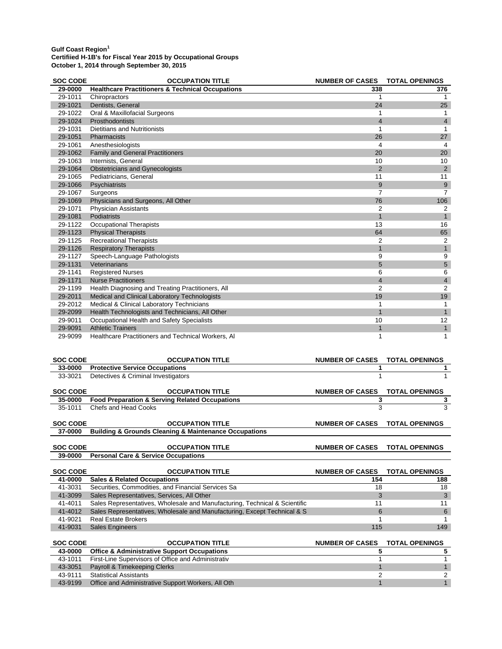| <b>SOC CODE</b> | <b>OCCUPATION TITLE</b>                                     | <b>NUMBER OF CASES</b> | <b>TOTAL OPENINGS</b> |
|-----------------|-------------------------------------------------------------|------------------------|-----------------------|
| 29-0000         | <b>Healthcare Practitioners &amp; Technical Occupations</b> | 338                    | 376                   |
| 29-1011         | Chiropractors                                               |                        |                       |
| 29-1021         | Dentists, General                                           | 24                     | 25                    |
| 29-1022         | Oral & Maxillofacial Surgeons                               |                        |                       |
| 29-1024         | Prosthodontists                                             | $\overline{4}$         | 4                     |
| 29-1031         | <b>Dietitians and Nutritionists</b>                         |                        |                       |
| 29-1051         | Pharmacists                                                 | 26                     | 27                    |
| 29-1061         | Anesthesiologists                                           | 4                      | 4                     |
| 29-1062         | <b>Family and General Practitioners</b>                     | 20                     | 20                    |
| 29-1063         | Internists, General                                         | 10                     | 10                    |
| 29-1064         | <b>Obstetricians and Gynecologists</b>                      | $\overline{2}$         | $\overline{2}$        |
| 29-1065         | Pediatricians, General                                      | 11                     | 11                    |
| 29-1066         | Psychiatrists                                               | 9                      | 9                     |
| 29-1067         | Surgeons                                                    | 7                      | 7                     |
| 29-1069         | Physicians and Surgeons, All Other                          | 76                     | 106                   |
| 29-1071         | <b>Physician Assistants</b>                                 | 2                      | 2                     |
| 29-1081         | Podiatrists                                                 |                        |                       |
| 29-1122         | <b>Occupational Therapists</b>                              | 13                     | 16                    |
| 29-1123         | <b>Physical Therapists</b>                                  | 64                     | 65                    |
| 29-1125         | <b>Recreational Therapists</b>                              | 2                      | 2                     |
| 29-1126         | <b>Respiratory Therapists</b>                               |                        | 1                     |
| 29-1127         | Speech-Language Pathologists                                | 9                      | 9                     |
| 29-1131         | Veterinarians                                               | 5                      | 5                     |
| 29-1141         | <b>Registered Nurses</b>                                    | 6                      | 6                     |
| 29-1171         | <b>Nurse Practitioners</b>                                  | 4                      | 4                     |
| 29-1199         | Health Diagnosing and Treating Practitioners, All           | $\overline{2}$         | 2                     |
| 29-2011         | Medical and Clinical Laboratory Technologists               | 19                     | 19                    |
| 29-2012         | Medical & Clinical Laboratory Technicians                   |                        |                       |
| 29-2099         | Health Technologists and Technicians, All Other             | 1                      |                       |
| 29-9011         | Occupational Health and Safety Specialists                  | 10                     | 12                    |
| 29-9091         | <b>Athletic Trainers</b>                                    | $\mathbf 1$            | $\mathbf{1}$          |
| 29-9099         | Healthcare Practitioners and Technical Workers, Al          | 1                      | 1                     |

| <b>SOC CODE</b> | <b>OCCUPATION TITLE</b>                                                    | <b>NUMBER OF CASES</b> | <b>TOTAL OPENINGS</b> |
|-----------------|----------------------------------------------------------------------------|------------------------|-----------------------|
| 33-0000         | <b>Protective Service Occupations</b>                                      |                        |                       |
| 33-3021         | Detectives & Criminal Investigators                                        |                        |                       |
|                 |                                                                            |                        |                       |
| <b>SOC CODE</b> | <b>OCCUPATION TITLE</b>                                                    | <b>NUMBER OF CASES</b> | <b>TOTAL OPENINGS</b> |
| 35-0000         | <b>Food Preparation &amp; Serving Related Occupations</b>                  | 3                      | 3                     |
| 35-1011         | Chefs and Head Cooks                                                       | 3                      | 3                     |
|                 |                                                                            |                        |                       |
| <b>SOC CODE</b> | <b>OCCUPATION TITLE</b>                                                    | <b>NUMBER OF CASES</b> | <b>TOTAL OPENINGS</b> |
| 37-0000         | <b>Building &amp; Grounds Cleaning &amp; Maintenance Occupations</b>       |                        |                       |
|                 |                                                                            |                        |                       |
| <b>SOC CODE</b> | <b>OCCUPATION TITLE</b>                                                    | <b>NUMBER OF CASES</b> | <b>TOTAL OPENINGS</b> |
| 39-0000         | <b>Personal Care &amp; Service Occupations</b>                             |                        |                       |
|                 |                                                                            |                        |                       |
|                 |                                                                            |                        |                       |
| <b>SOC CODE</b> | <b>OCCUPATION TITLE</b>                                                    | <b>NUMBER OF CASES</b> | <b>TOTAL OPENINGS</b> |
| 41-0000         | <b>Sales &amp; Related Occupations</b>                                     | 154                    | 188                   |
| 41-3031         | Securities, Commodities, and Financial Services Sa                         | 18                     | 18                    |
| 41-3099         | Sales Representatives, Services, All Other                                 | 3                      | 3                     |
| 41-4011         | Sales Representatives, Wholesale and Manufacturing, Technical & Scientific | 11                     | 11                    |
| 41-4012         | Sales Representatives, Wholesale and Manufacturing, Except Technical & S   | 6                      | 6                     |
| 41-9021         | <b>Real Estate Brokers</b>                                                 |                        |                       |
| 41-9031         | <b>Sales Engineers</b>                                                     | 115                    | 149                   |
|                 |                                                                            |                        |                       |
| <b>SOC CODE</b> | <b>OCCUPATION TITLE</b>                                                    | <b>NUMBER OF CASES</b> | <b>TOTAL OPENINGS</b> |
| 43-0000         | <b>Office &amp; Administrative Support Occupations</b>                     | 5                      | 5                     |
| 43-1011         | First-Line Supervisors of Office and Administrativ                         |                        |                       |
| 43-3051         | Payroll & Timekeeping Clerks                                               |                        |                       |

43-9199 Office and Administrative Support Workers, All Oth 1 1